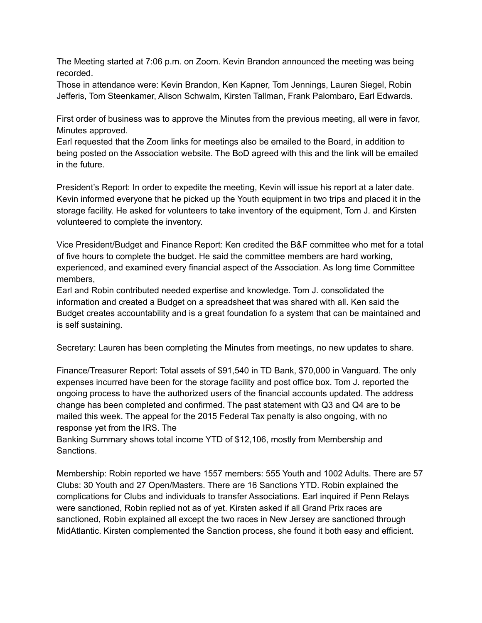The Meeting started at 7:06 p.m. on Zoom. Kevin Brandon announced the meeting was being recorded.

Those in attendance were: Kevin Brandon, Ken Kapner, Tom Jennings, Lauren Siegel, Robin Jefferis, Tom Steenkamer, Alison Schwalm, Kirsten Tallman, Frank Palombaro, Earl Edwards.

First order of business was to approve the Minutes from the previous meeting, all were in favor, Minutes approved.

Earl requested that the Zoom links for meetings also be emailed to the Board, in addition to being posted on the Association website. The BoD agreed with this and the link will be emailed in the future.

President's Report: In order to expedite the meeting, Kevin will issue his report at a later date. Kevin informed everyone that he picked up the Youth equipment in two trips and placed it in the storage facility. He asked for volunteers to take inventory of the equipment, Tom J. and Kirsten volunteered to complete the inventory.

Vice President/Budget and Finance Report: Ken credited the B&F committee who met for a total of five hours to complete the budget. He said the committee members are hard working, experienced, and examined every financial aspect of the Association. As long time Committee members,

Earl and Robin contributed needed expertise and knowledge. Tom J. consolidated the information and created a Budget on a spreadsheet that was shared with all. Ken said the Budget creates accountability and is a great foundation fo a system that can be maintained and is self sustaining.

Secretary: Lauren has been completing the Minutes from meetings, no new updates to share.

Finance/Treasurer Report: Total assets of \$91,540 in TD Bank, \$70,000 in Vanguard. The only expenses incurred have been for the storage facility and post office box. Tom J. reported the ongoing process to have the authorized users of the financial accounts updated. The address change has been completed and confirmed. The past statement with Q3 and Q4 are to be mailed this week. The appeal for the 2015 Federal Tax penalty is also ongoing, with no response yet from the IRS. The

Banking Summary shows total income YTD of \$12,106, mostly from Membership and Sanctions.

Membership: Robin reported we have 1557 members: 555 Youth and 1002 Adults. There are 57 Clubs: 30 Youth and 27 Open/Masters. There are 16 Sanctions YTD. Robin explained the complications for Clubs and individuals to transfer Associations. Earl inquired if Penn Relays were sanctioned, Robin replied not as of yet. Kirsten asked if all Grand Prix races are sanctioned, Robin explained all except the two races in New Jersey are sanctioned through MidAtlantic. Kirsten complemented the Sanction process, she found it both easy and efficient.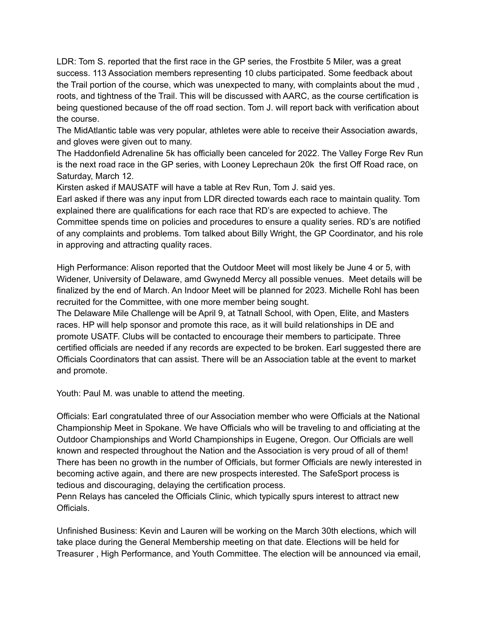LDR: Tom S. reported that the first race in the GP series, the Frostbite 5 Miler, was a great success. 113 Association members representing 10 clubs participated. Some feedback about the Trail portion of the course, which was unexpected to many, with complaints about the mud , roots, and tightness of the Trail. This will be discussed with AARC, as the course certification is being questioned because of the off road section. Tom J. will report back with verification about the course.

The MidAtlantic table was very popular, athletes were able to receive their Association awards, and gloves were given out to many.

The Haddonfield Adrenaline 5k has officially been canceled for 2022. The Valley Forge Rev Run is the next road race in the GP series, with Looney Leprechaun 20k the first Off Road race, on Saturday, March 12.

Kirsten asked if MAUSATF will have a table at Rev Run, Tom J. said yes.

Earl asked if there was any input from LDR directed towards each race to maintain quality. Tom explained there are qualifications for each race that RD's are expected to achieve. The Committee spends time on policies and procedures to ensure a quality series. RD's are notified of any complaints and problems. Tom talked about Billy Wright, the GP Coordinator, and his role in approving and attracting quality races.

High Performance: Alison reported that the Outdoor Meet will most likely be June 4 or 5, with Widener, University of Delaware, amd Gwynedd Mercy all possible venues. Meet details will be finalized by the end of March. An Indoor Meet will be planned for 2023. Michelle Rohl has been recruited for the Committee, with one more member being sought.

The Delaware Mile Challenge will be April 9, at Tatnall School, with Open, Elite, and Masters races. HP will help sponsor and promote this race, as it will build relationships in DE and promote USATF. Clubs will be contacted to encourage their members to participate. Three certified officials are needed if any records are expected to be broken. Earl suggested there are Officials Coordinators that can assist. There will be an Association table at the event to market and promote.

Youth: Paul M. was unable to attend the meeting.

Officials: Earl congratulated three of our Association member who were Officials at the National Championship Meet in Spokane. We have Officials who will be traveling to and officiating at the Outdoor Championships and World Championships in Eugene, Oregon. Our Officials are well known and respected throughout the Nation and the Association is very proud of all of them! There has been no growth in the number of Officials, but former Officials are newly interested in becoming active again, and there are new prospects interested. The SafeSport process is tedious and discouraging, delaying the certification process.

Penn Relays has canceled the Officials Clinic, which typically spurs interest to attract new Officials.

Unfinished Business: Kevin and Lauren will be working on the March 30th elections, which will take place during the General Membership meeting on that date. Elections will be held for Treasurer , High Performance, and Youth Committee. The election will be announced via email,